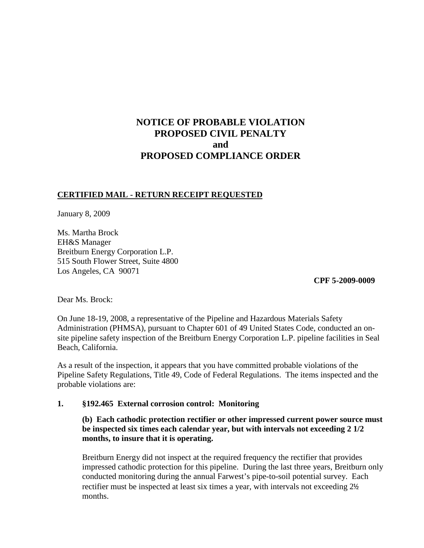## **NOTICE OF PROBABLE VIOLATION PROPOSED CIVIL PENALTY and PROPOSED COMPLIANCE ORDER**

#### **CERTIFIED MAIL - RETURN RECEIPT REQUESTED**

January 8, 2009

Ms. Martha Brock EH&S Manager Breitburn Energy Corporation L.P. 515 South Flower Street, Suite 4800 Los Angeles, CA 90071

 **CPF 5-2009-0009**

Dear Ms. Brock:

On June 18-19, 2008, a representative of the Pipeline and Hazardous Materials Safety Administration (PHMSA), pursuant to Chapter 601 of 49 United States Code, conducted an onsite pipeline safety inspection of the Breitburn Energy Corporation L.P. pipeline facilities in Seal Beach, California.

As a result of the inspection, it appears that you have committed probable violations of the Pipeline Safety Regulations, Title 49, Code of Federal Regulations. The items inspected and the probable violations are:

#### **1. §192.465 External corrosion control: Monitoring**

### **(b) Each cathodic protection rectifier or other impressed current power source must be inspected six times each calendar year, but with intervals not exceeding 2 1/2 months, to insure that it is operating.**

Breitburn Energy did not inspect at the required frequency the rectifier that provides impressed cathodic protection for this pipeline. During the last three years, Breitburn only conducted monitoring during the annual Farwest's pipe-to-soil potential survey. Each rectifier must be inspected at least six times a year, with intervals not exceeding 2½ months.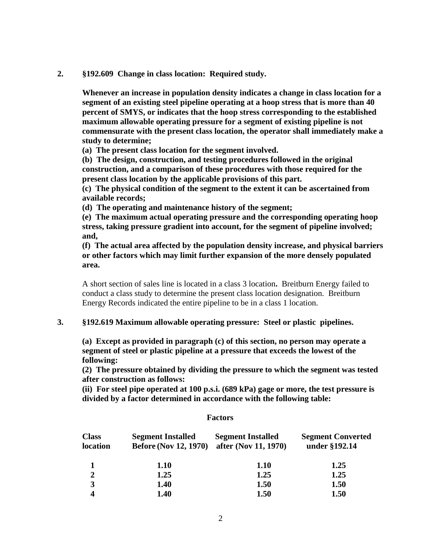**2. §192.609 Change in class location: Required study.**

**Whenever an increase in population density indicates a change in class location for a segment of an existing steel pipeline operating at a hoop stress that is more than 40 percent of SMYS, or indicates that the hoop stress corresponding to the established maximum allowable operating pressure for a segment of existing pipeline is not commensurate with the present class location, the operator shall immediately make a study to determine;**

**(a) The present class location for the segment involved.**

**(b) The design, construction, and testing procedures followed in the original construction, and a comparison of these procedures with those required for the present class location by the applicable provisions of this part.**

**(c) The physical condition of the segment to the extent it can be ascertained from available records;**

**(d) The operating and maintenance history of the segment;**

**(e) The maximum actual operating pressure and the corresponding operating hoop stress, taking pressure gradient into account, for the segment of pipeline involved; and,**

**(f) The actual area affected by the population density increase, and physical barriers or other factors which may limit further expansion of the more densely populated area.**

A short section of sales line is located in a class 3 location**.** Breitburn Energy failed to conduct a class study to determine the present class location designation. Breitburn Energy Records indicated the entire pipeline to be in a class 1 location.

#### **3. §192.619 Maximum allowable operating pressure: Steel or plastic pipelines.**

**(a) Except as provided in paragraph (c) of this section, no person may operate a segment of steel or plastic pipeline at a pressure that exceeds the lowest of the following:**

**(2) The pressure obtained by dividing the pressure to which the segment was tested after construction as follows:**

**(ii) For steel pipe operated at 100 p.s.i. (689 kPa) gage or more, the test pressure is divided by a factor determined in accordance with the following table:**

#### **Factors**

| <b>Class</b><br>location | <b>Segment Installed</b><br><b>Before (Nov 12, 1970)</b> | <b>Segment Installed</b><br>after (Nov 11, 1970) | <b>Segment Converted</b><br>under §192.14 |
|--------------------------|----------------------------------------------------------|--------------------------------------------------|-------------------------------------------|
|                          | <b>1.10</b>                                              | <b>1.10</b>                                      | 1.25                                      |
| $\overline{2}$           | 1.25                                                     | 1.25                                             | 1.25                                      |
| 3                        | 1.40                                                     | 1.50                                             | 1.50                                      |
|                          | 1.40                                                     | 1.50                                             | 1.50                                      |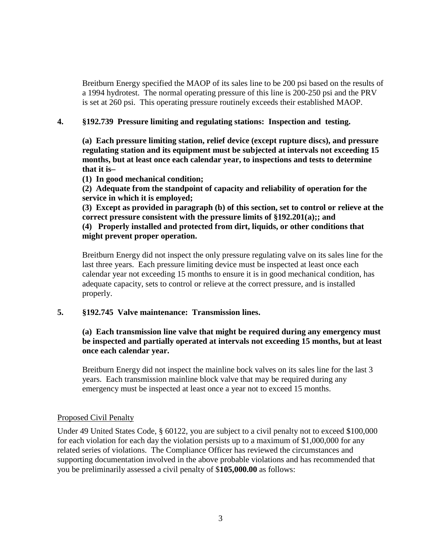Breitburn Energy specified the MAOP of its sales line to be 200 psi based on the results of a 1994 hydrotest. The normal operating pressure of this line is 200-250 psi and the PRV is set at 260 psi. This operating pressure routinely exceeds their established MAOP.

## **4. §192.739 Pressure limiting and regulating stations: Inspection and testing.**

**(a) Each pressure limiting station, relief device (except rupture discs), and pressure regulating station and its equipment must be subjected at intervals not exceeding 15 months, but at least once each calendar year, to inspections and tests to determine that it is–**

**(1) In good mechanical condition;**

**(2) Adequate from the standpoint of capacity and reliability of operation for the service in which it is employed;**

**(3) Except as provided in paragraph (b) of this section, set to control or relieve at the correct pressure consistent with the pressure limits of §192.201(a);; and**

**(4) Properly installed and protected from dirt, liquids, or other conditions that might prevent proper operation.**

Breitburn Energy did not inspect the only pressure regulating valve on its sales line for the last three years. Each pressure limiting device must be inspected at least once each calendar year not exceeding 15 months to ensure it is in good mechanical condition, has adequate capacity, sets to control or relieve at the correct pressure, and is installed properly.

## **5. §192.745 Valve maintenance: Transmission lines.**

## **(a) Each transmission line valve that might be required during any emergency must be inspected and partially operated at intervals not exceeding 15 months, but at least once each calendar year.**

Breitburn Energy did not inspect the mainline bock valves on its sales line for the last 3 years. Each transmission mainline block valve that may be required during any emergency must be inspected at least once a year not to exceed 15 months.

#### Proposed Civil Penalty

Under 49 United States Code, § 60122, you are subject to a civil penalty not to exceed \$100,000 for each violation for each day the violation persists up to a maximum of \$1,000,000 for any related series of violations. The Compliance Officer has reviewed the circumstances and supporting documentation involved in the above probable violations and has recommended that you be preliminarily assessed a civil penalty of \$**105,000.00** as follows: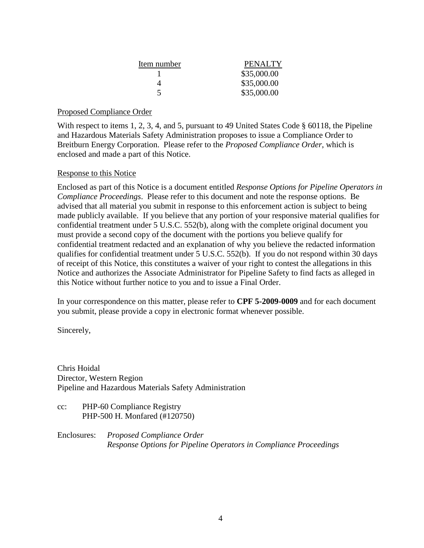| Item number | PENALTY     |  |
|-------------|-------------|--|
|             | \$35,000.00 |  |
|             | \$35,000.00 |  |
|             | \$35,000.00 |  |

## Proposed Compliance Order

With respect to items 1, 2, 3, 4, and 5, pursuant to 49 United States Code § 60118, the Pipeline and Hazardous Materials Safety Administration proposes to issue a Compliance Order to Breitburn Energy Corporation. Please refer to the *Proposed Compliance Order*, which is enclosed and made a part of this Notice.

## Response to this Notice

Enclosed as part of this Notice is a document entitled *Response Options for Pipeline Operators in Compliance Proceedings*. Please refer to this document and note the response options. Be advised that all material you submit in response to this enforcement action is subject to being made publicly available. If you believe that any portion of your responsive material qualifies for confidential treatment under 5 U.S.C. 552(b), along with the complete original document you must provide a second copy of the document with the portions you believe qualify for confidential treatment redacted and an explanation of why you believe the redacted information qualifies for confidential treatment under 5 U.S.C. 552(b). If you do not respond within 30 days of receipt of this Notice, this constitutes a waiver of your right to contest the allegations in this Notice and authorizes the Associate Administrator for Pipeline Safety to find facts as alleged in this Notice without further notice to you and to issue a Final Order.

In your correspondence on this matter, please refer to **CPF 5-2009-0009** and for each document you submit, please provide a copy in electronic format whenever possible.

Sincerely,

Chris Hoidal Director, Western Region Pipeline and Hazardous Materials Safety Administration

cc: PHP-60 Compliance Registry PHP-500 H. Monfared (#120750)

Enclosures: *Proposed Compliance Order Response Options for Pipeline Operators in Compliance Proceedings*